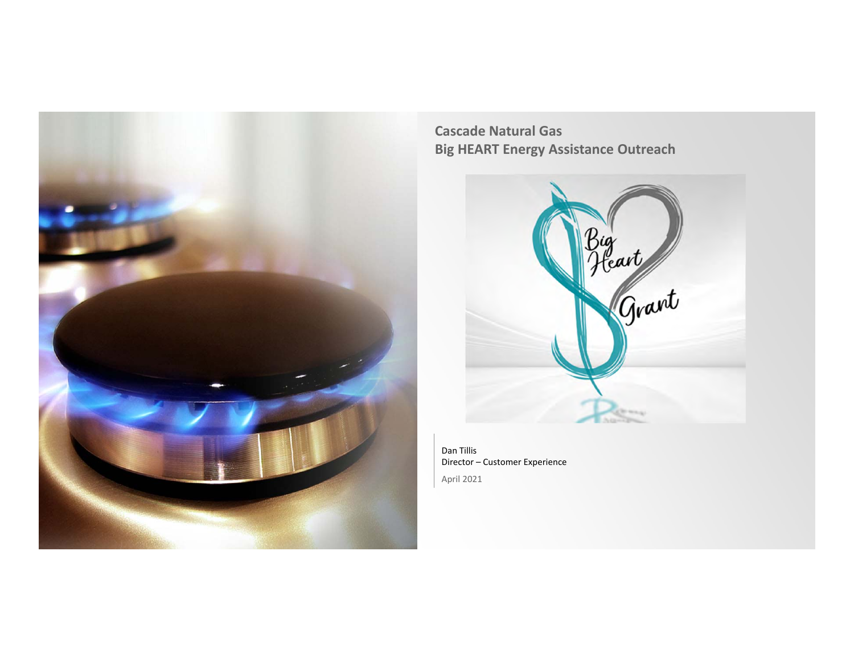

**Cascade Natural Gas Big HEART Energy Assistance Outreach**



Dan Tillis Director – Customer Experience April 2021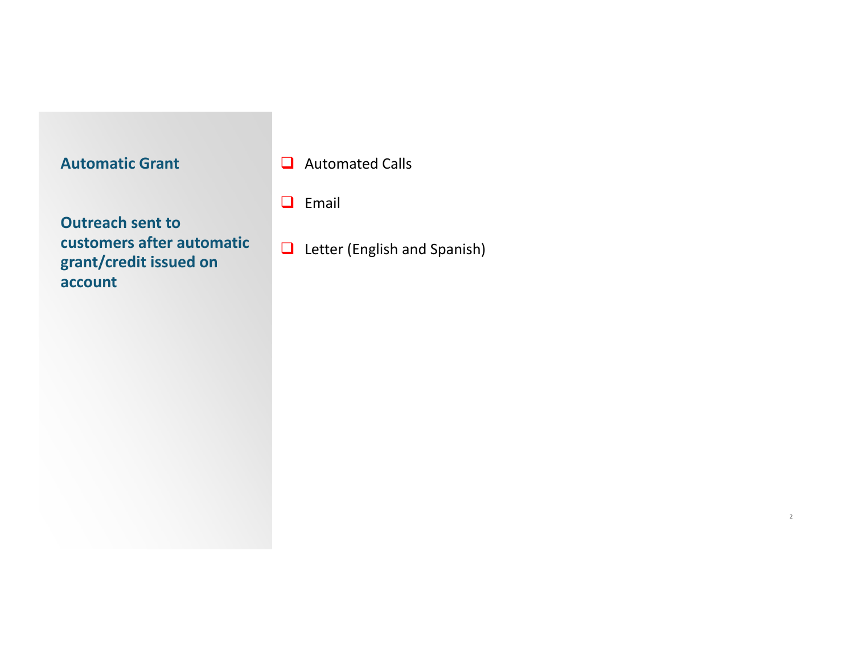**Q** Automated Calls

 $\Box$  Email

**Outreach sent to customers after automaticgrant/credit issued on account**

 $\Box$  Letter (English and Spanish)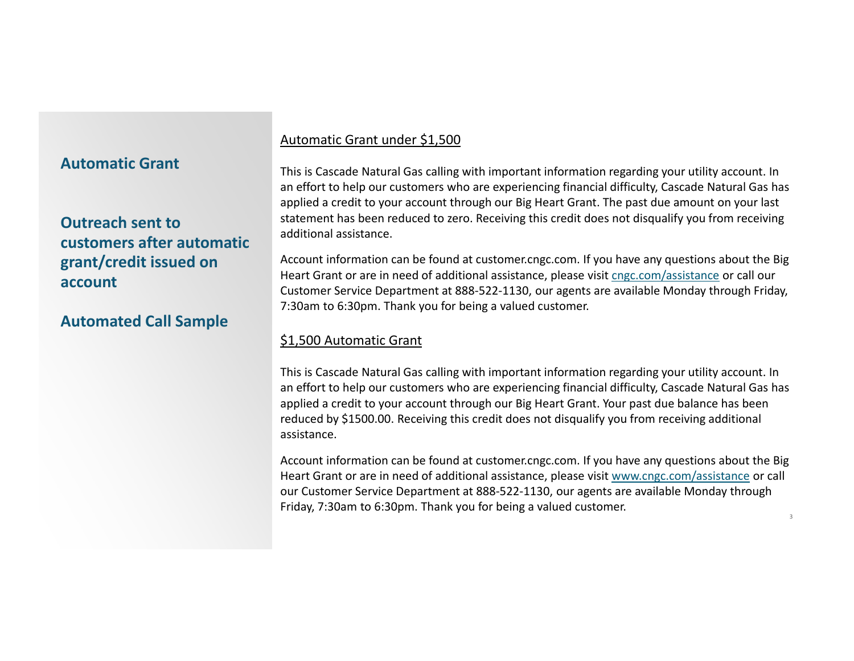# **Outreach sent tocustomers after automaticgrant/credit issued on account**

# **Automated Call Sample**

## Automatic Grant under \$1,500

This is Cascade Natural Gas calling with important information regarding your utility account. In an effort to help our customers who are experiencing financial difficulty, Cascade Natural Gas has applied <sup>a</sup> credit to your account through our Big Heart Grant. The past due amount on your last statement has been reduced to zero. Receiving this credit does not disqualify you from receiving additional assistance.

Account information can be found at customer.cngc.com. If you have any questions about the Big Heart Grant or are in need of additional assistance, please visit cngc.com/assistance or call our Customer Service Department at 888‐522‐1130, our agents are available Monday through Friday, 7:30am to 6:30pm. Thank you for being <sup>a</sup> valued customer.

### \$1,500 Automatic Grant

This is Cascade Natural Gas calling with important information regarding your utility account. In an effort to help our customers who are experiencing financial difficulty, Cascade Natural Gas has applied <sup>a</sup> credit to your account through our Big Heart Grant. Your past due balance has been reduced by \$1500.00. Receiving this credit does not disqualify you from receiving additional assistance.

Account information can be found at customer.cngc.com. If you have any questions about the Big Heart Grant or are in need of additional assistance, please visit www.cngc.com/assistance or call our Customer Service Department at 888‐522‐1130, our agents are available Monday through Friday, 7:30am to 6:30pm. Thank you for being <sup>a</sup> valued customer.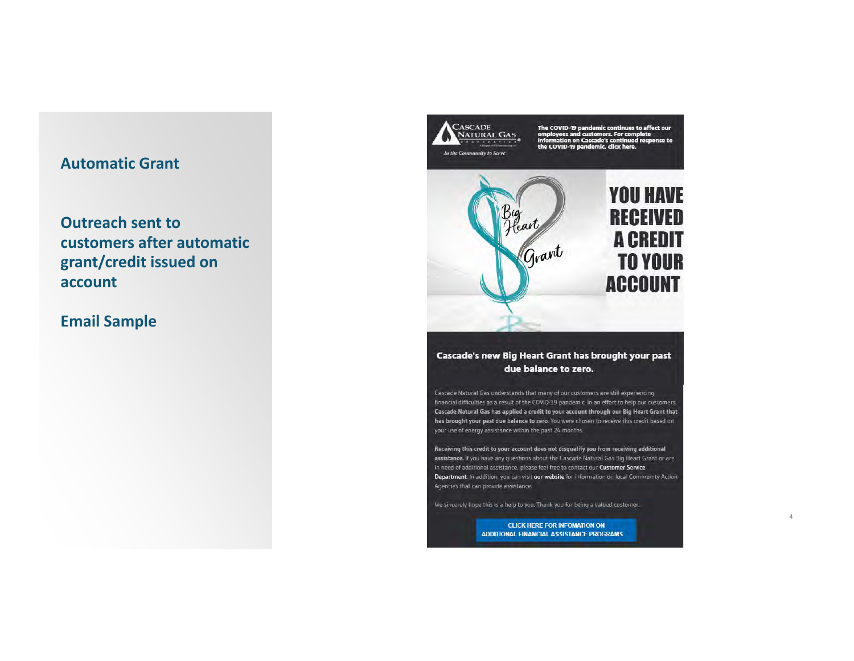**Outreach sent to** customers after automatic grant/credit issued on account

# **Email Sample**



We sincerely hope this is a help to you. Thank you for being a valued customer.

**CLICK HERE FOR INFOMATION ON ADDITIONAL FINANCIAL ASSISTANCE PROGRAMS**   $\Delta$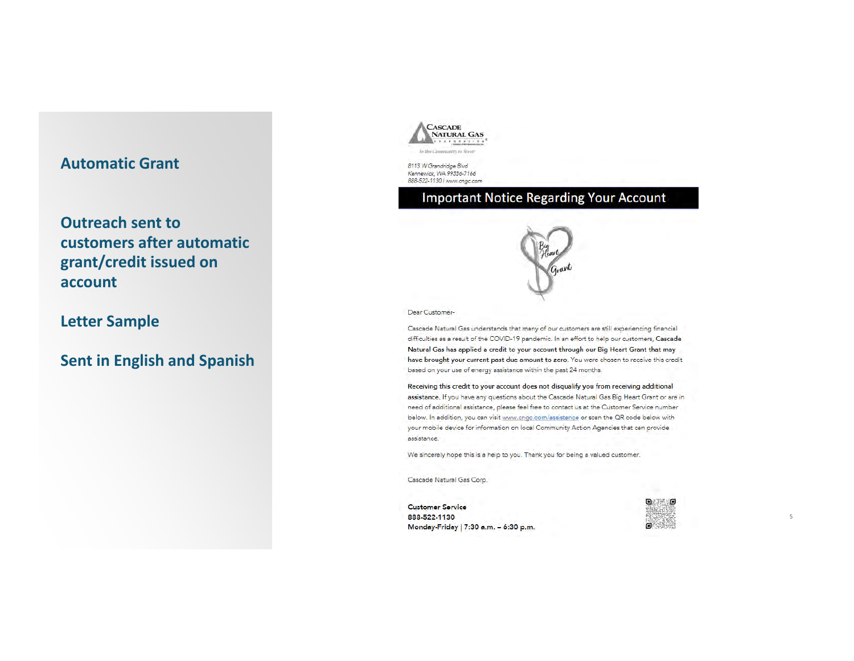**Outreach sent tocustomers after automaticgrant/credit issued on account**

### **Letter Sample**

**Sent in English and Spanish**



8113 W Grandridge Blvd *Ke-nnewick, WA 99336-71 66*  888-522-1130 / www.cngc.com

## Important Notice Regarding Your Account



Dear Customer-

Cascade Natural Gas understands that many of our customers are still experiencing financial difficulties as a result of the COVID-19 pandemic. In an effort to help our customers, **Cascade** Natural Gas has applied a credit to your account through our Big Heart Grant tha<mark>t</mark> may have brought your current past due amount to zero. You were chosen to receive this credit based on your use of energy assistance within the past 24 months.

Receiving this credit to your account does not disqualify you from receiving additional assistance. If you have any questions about the Cascade Natural Gas Big Heart Grant or are in need of additional assistance, please feel free to contact us at the Customer Service number below. In addition, you can visit <u>www.cngc.com/assistance</u> or scan the QR code below with your mobile device for information on local Community Action Agencies that can provide assjstance.

We sincerely hope this is a help to you. Thank you for being a valued customer.

Cascade Natural Gas Corp.

Customer **Sarvica** 888-522-1130 M onday-Friday I 7:30 **a.m.** - 6:30 p.m.

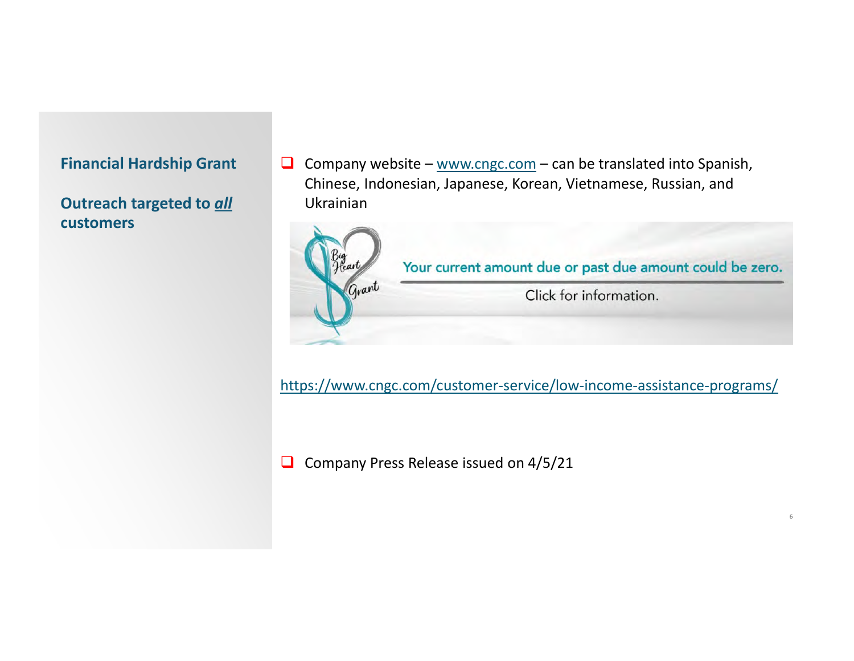**Outreach targeted to** *all* **customers**

Company website – www.cngc.com – can be translated into Spanish, Chinese, Indonesian, Japanese, Korean, Vietnamese, Russian, and Ukrainian



https://www.cngc.com/customer-service/low-income-assistance-programs/

6

 $\Box$  Company Press Release issued on 4/5/21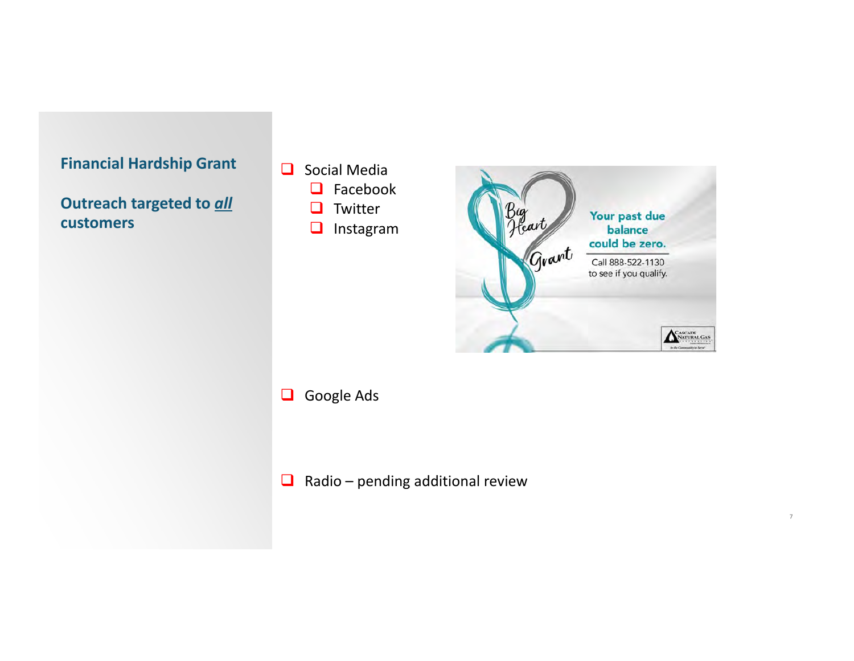

**Outreach targeted to** *all* **customers**

- Social Media
	- **Q** Facebook
	- **u** Twitter
	- **I** Instagram



7

### Google Ads

 $\Box$  Radio – pending additional review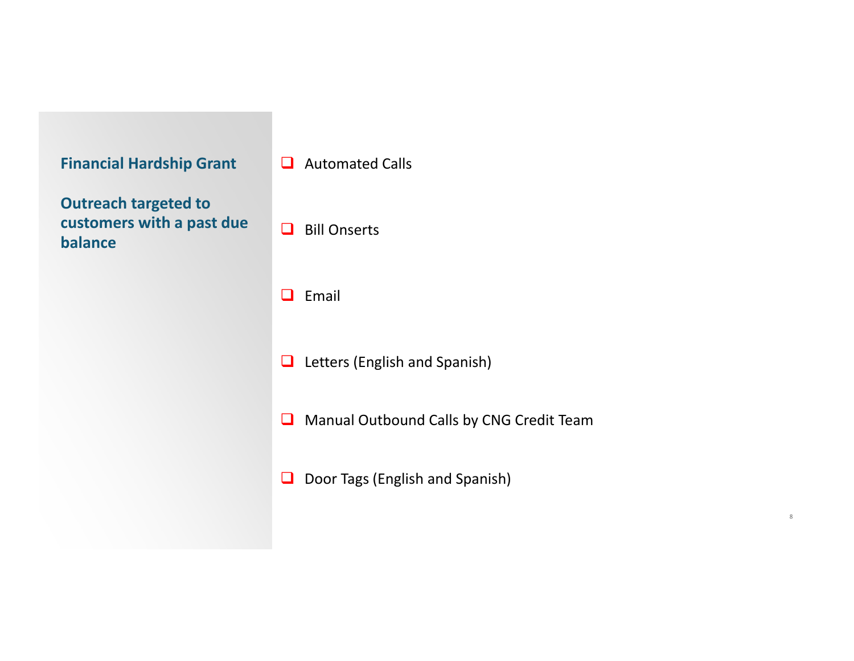| <b>Financial Hardship Grant</b>                                     | <b>Automated Calls</b><br>$\Box$              |  |
|---------------------------------------------------------------------|-----------------------------------------------|--|
| <b>Outreach targeted to</b><br>customers with a past due<br>balance | <b>Bill Onserts</b><br>l 1                    |  |
|                                                                     | Email<br>Ш                                    |  |
|                                                                     | Letters (English and Spanish)<br>$\Box$       |  |
|                                                                     | Manual Outbound Calls by CNG Credit Team<br>❏ |  |
|                                                                     | Door Tags (English and Spanish)<br>❏          |  |
|                                                                     |                                               |  |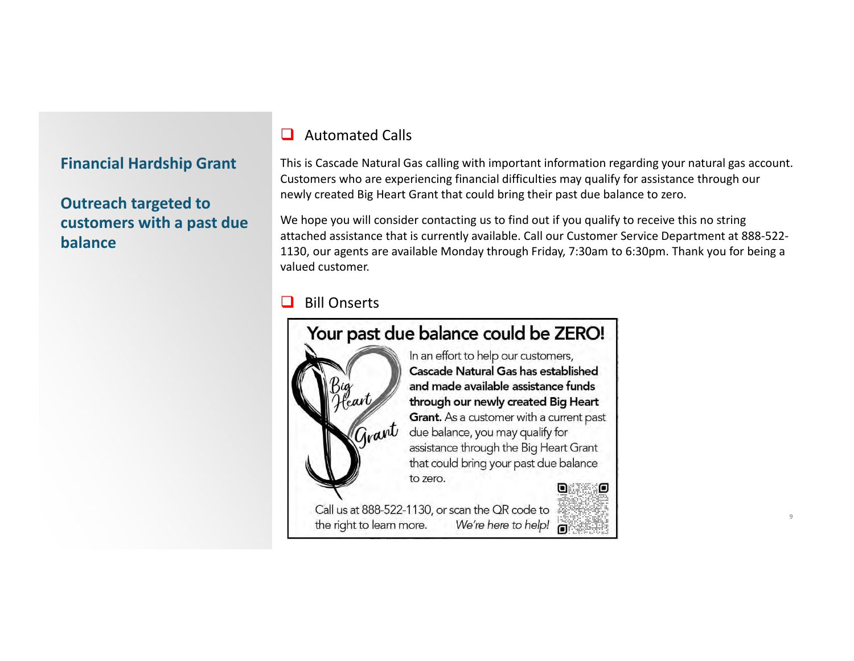# **Outreach targeted to customers with <sup>a</sup> past due balance**

#### $\Box$ Automated Calls

This is Cascade Natural Gas calling with important information regarding your natural gas account. Customers who are experiencing financial difficulties may qualify for assistance through our newly created Big Heart Grant that could bring their past due balance to zero.

We hope you will consider contacting us to find out if you qualify to receive this no string attached assistance that is currently available. Call our Customer Service Department at 888‐522‐ 1130, our agents are available Monday through Friday, 7:30am to 6:30pm. Thank you for being <sup>a</sup> valued customer.

 $Q$ 

#### $\Box$ Bill Onserts

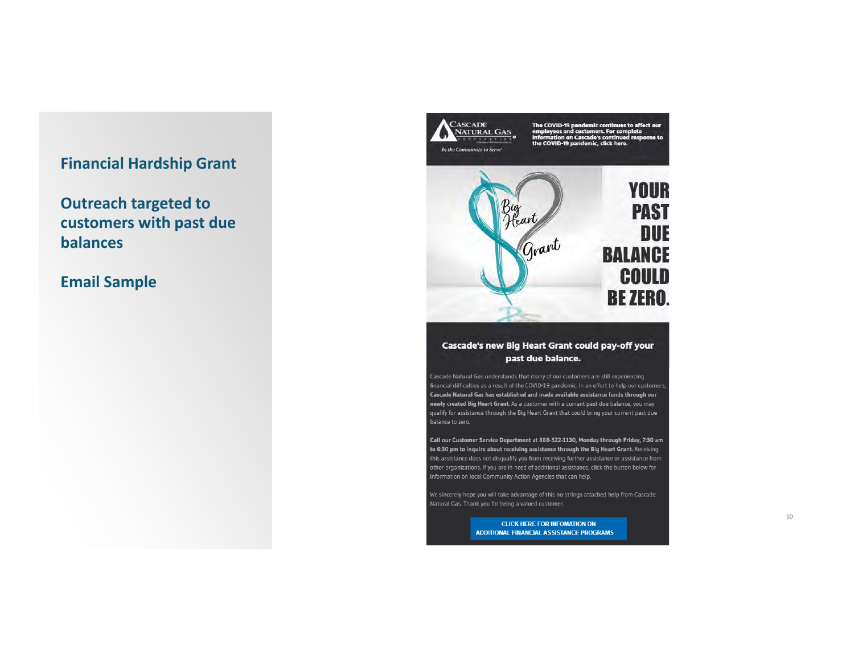**Outreach targeted to** customers with past due **balances** 

## **Email Sample**



#### Cascade's new Big Heart Grant could pay-off your past due balance.

Cascade Natural Gas understands that many of our customers are still experiencing financial difficulties as a result of the COVID-19 pandemic. In an effort to help our customers, Cascade Natural Gas has established and made available assistance funds through our newly created Big Heart Grant. As a customer with a current past due balance, you may qualify for assistance through the Big Heart Grant that could bring your current past due

Call our Customer Service Department at 888-522-1130, Monday through Friday, 7:30 am to 6:30 pm to inquire about receiving assistance through the Big Heart Grant. Receiving this assistance does not disqualify you from receiving further assistance or assistance from other organizations. If you are in need of additional assistance, click the button below for information on local Community Action Agencies that can help.

We sincerely hope you will take advantage of this no-strings-attached help from Cascade Natural Gas. Thank you for being a valued customer.

> **CLICK HERE FOR INFOMATION ON** ADDITIONAL FINANCIAL ASSISTANCE PROGRAMS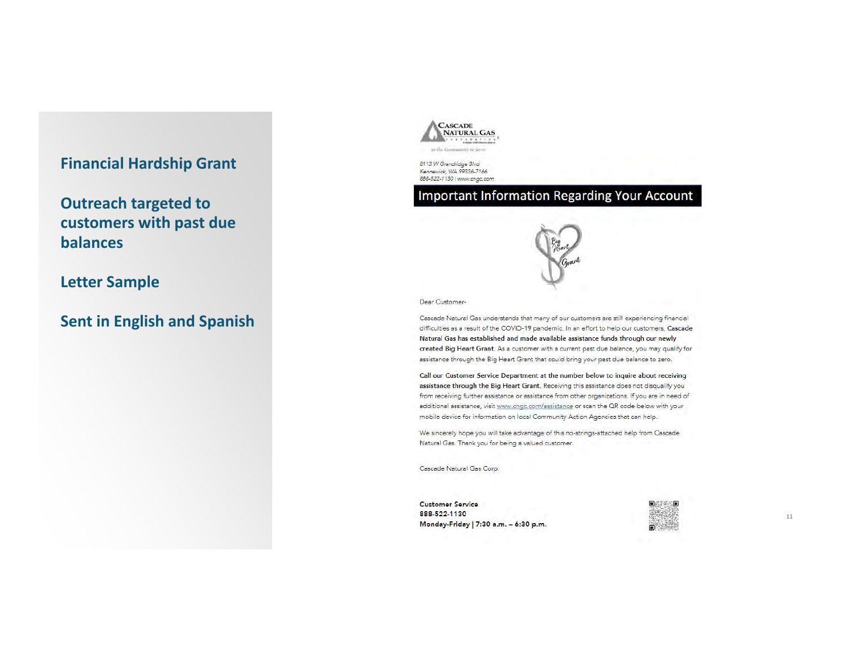**Outreach targeted to customers with past due balances**

**Letter Sample**

**Sent in English and Spanish**



8113 *W Grandridge Blvd* Kennewick, WA 99336-7166 888-522-1130 / www.cngc.com

## Important Information Regarding Your Account



Dear Customer-

Cascade Natural Gas understands that many of our customers are still experiencing financial difficulties as a result of the COVID-19 pandemic. In an effort to help our customers, **Cascade** Natural Gas has established and made available assistance funds through our newly **created Big Heart Grant.** As a customer with a current past due balance, you may qualify for assistance through the Big Heart Grant that could bring your past due balance to zero.

Call our Customer Service Department at the number below to inquire about receiving assistance through the Big Heart Grant. Receiving this assistance does not disqualify you from receiving further assistance or assistance from other organizations. If you are in need of additional assistance, visit <u>www.cngc.com/assistance</u> or scan the QR code below with your mobile device for information on local Community Action Agencies that can help.

We sincerely hope you will take advantage of this no-strings-attached help from Cascade . Natural Gas. Thank you for being a valued customer.

Cascade Natural Gas Corp.

Customer **Service** 888-522-1130 M onday-Friday 17:30 **a.m.** - 6:30 p.m .

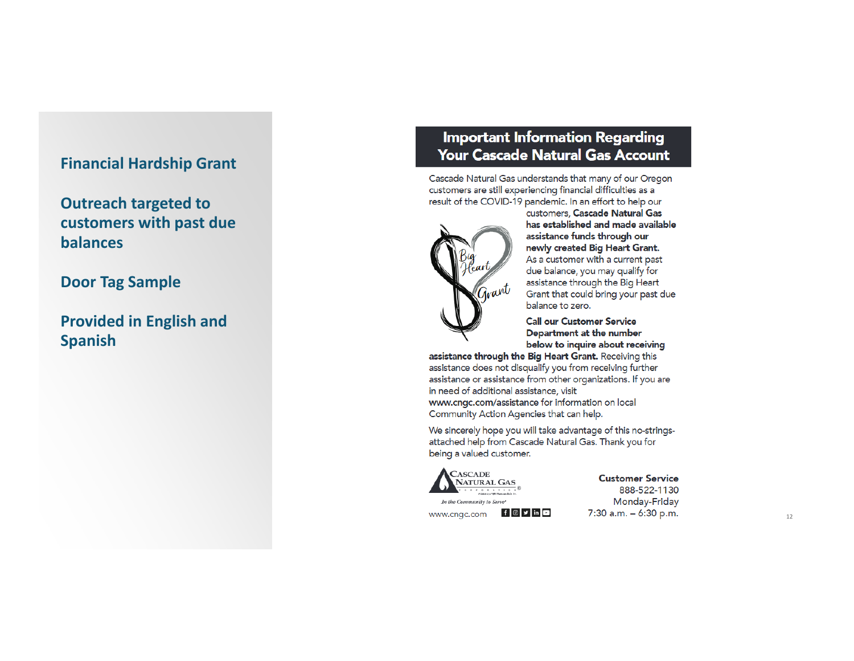**Outreach targeted to customers with past due balances**

# **Door Tag Sample**

**Provided in English and Spanish**

# **Important Information Regarding Your Cascade Natural Gas Account**

Cascade Natural Gas understands that many of our Oregon customers are still experiencing financial difficulties as a result of the COVID-19 pandemic. In an effort to help our



customers, **Cascade Natural Gas has established and made available assistance funds through our newly created Big Heart Grant.**  As a customer with a current past due balance, you may qualify for assistance through the Big Heart Grant that could bring your past due balance to zero.

**Call our Customer Service Department at the number below to inquire about receiving** 

**assistance through the Big Heart Grant.** Receiving this assistance does not disqualify you from receiving further assistance or assistance from other organizations. If you are in need of additional assistance, visit www.cngc.com/assistance for information on local Community Action Agencies that can help.

We sincerely hope you will take advantage of this no-stringsattached help from Cascade Natural Gas. Thank you for being a valued customer.



*In the Community to Serve* 

www.cngc.com **f o y** in **c** 

**Customer Service** 888-522-1130 Monday-Friday

7:30 a.m. - 6:30 p.m.